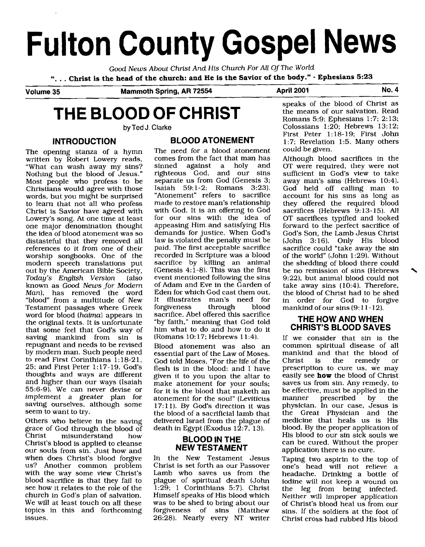# **Fulton County Gospel News**

Good News About Christ And His Church For All Of The World

". . . **Christ is the head of the church: and He is the Savior of the body."** - **Ephesians 5:23** 

**Volume 35 Mammoth Spring, AR 72554 April 2001 No. 4** 

# **THE BLOOD OF CHRIST**

by **Ted** J. Clarke

The opening stanza of a hymn The need for a blood atonement<br>written by Robert Lowery reads. comes from the fact that man has written by Robert Lowery reads, comes from the fact that man has "What can wash away my sins? sinned against a holy and "What can wash away my sins? Sirmed against a holy and Nothing but the blood of Jesus." righteous God, and our sins<br>Most people who profess to be separate us from God (Genesis 3; Most people who profess to be separate us from God (Genesis 3; Christians would agree with those Isaiah 59:1-2; Romans 3:23). words, but you might be surprised "Atonement" refers to sacrifice<br>to learn that not all who profess made to restore man's relationship to learn that not all who profess made to restore man's relationship<br>Christ is Savior have agreed with with God. It is an offering to God Christ is Savior have agreed with with God. It is an offering to God Lowery's song. At one time at least<br>one major denomination thought one major denomination thought appeasing Him and satisfying His<br>the idea of blood atonement was so demands for justice. When God's distasteful that they removed all law is violated the penalty must be references to it from one of their paid. The first acceptable sacrifice references to it from one of their paid. The first acceptable sacrifice<br>worship songbooks. One of the recorded in Scripture was a blood worship songbooks. One of the recorded in Scripture was a blood modern speech translations put sacrifice by killing an animal<br>out by the American Bible Society. (Genesis 4:1-8). This was the first out by the American Bible Society,<br>Today's English Version (also known as *Good News for Modern* of Adam and Eve in the Garden of Man). has removed the word Eden for which God cast them out. Man), has removed the word Eden for which God cast them out. "blood" from a multitude of New It illustrates man's need for Testament passages where Greek forgiveness through blood<br>word for blood (haima) appears in sacrifice. Abel offered this sacrifice word for blood (haima) appears in the original texts. It is unfortunate the original texts. It is unfortunate "by faith," meaning that God told that some feel that God's way of him what to do and how to do it saving mankind from sin is<br>repugnant and needs to be revised repugnant and needs to be revised  $\frac{1}{1000}$  atonement was also an by modern man. Such people need essential part of the Law of Moses by modern man. Such people need essential part of the Law of Moses.<br>to read First Corinthians  $1:18-21$ . God told Moses "For the life of the to read First Corinthians  $1:18-21$ , God told Moses, "For the life of the  $25$ ; and First Peter  $1:17-19$ . God's flesh is in the blood; and I have 25; and First Peter 1:17-19. God's flesh is in the blood: and I have<br>thoughts and ways are different given it to you upon the altar to thoughts and ways are different given it to you upon the altar to and higher than our ways (Isaiah make atonement for your souls. and higher than our ways (Isaiah make atonement for your souls;<br>55:6-9). We can never devise or for it is the blood that maketh an implement a greater plan for atonement for the soul" (Leviticus saving ourselves, although some  $17(11)$  By God's direction it was saving ourselves, although some  $17:11$ ). By God's direction it was seem to want to try.

grace of God through the blood of<br>Christ misunderstand how misunderstand Christ Inisulate static now<br>Christ's blood is applied to cleanse<br>**NEW TESTAMENT** our souls from sin. Just how and when does Christ's blood forgive us? Another common problem Christ is set forth as our Passover with the way some view Christ's<br>blood sacrifice is that they fail to blood sacrifice is that they fail to plague of spiritual death (John see how it relates to the role of the  $1:29$ ; 1 Corinthians 5:7). Christ see how it relates to the role of the  $\overline{1:29}$ ; 1 Corinthians 5:7). Christ church in God's plan of salvation. Himself speaks of His blood which church in God's plan of salvation. Himself speaks of His blood which We will at least touch on all these was to be shed to bring about our topics in this and forthcoming forgiveness of sins (Matthew issues. 26:28). Nearly every NT writer

**INTRODUCTION BLOOD ATONEMENT**<br>ening stanza of a hymn The need for a blood atonement demands for justice. When God's<br>law is violated the penalty must be event mentioned following the sins<br>of Adam and Eve in the Garden of him what to do and how to do it (Romans  $10:17$ : Hebrews  $11:4$ ).

for it is the blood that maketh an seem to want to try.<br>Others who believe in the saving delivered Israel from the plague of delivered Israel from the plague of<br>death in Egypt (Exodus 12:7, 13).

In the New Testament Jesus<br>Christ is set forth as our Passover forgiveness of sins (Matthew speaks of the blood of Christ as

the means of our salvation. Read Romans 5:9; Ephesians 1:7; 2: 13; Colossians  $1:20$ ; Hebrews  $13:12$ ; First Peter 1: 18-19; First John 1:7; Revelation 1:5. Many others could be given.

Although blood sacrifices in the OT were required, they were not sufficient in God's view to take away man's sins (Hebrews 10:4). God held off calling man to account for his sins as long as they offered the required blood sacrifices (Hebrews 9:13-15). All OT sacrifices typified and looked forward to the perfect sacrifice of God's Son, the Lamb Jesus Christ (John 3:16). Only His blood sacrifice could "take away the sin of the world" (John 1:29). Without the shedding of blood there could be no remission of sins (Hebrews 9:22), but animal blood could not take away sins (10:4). Therefore, the blood of Christ had to be shed in order for God to forgive mankind of our sins (9:11-12).

## **THE HOW AND WHEN CHRIST'S BLOOD SAVES**

If we consider that sin is the common spiritual disease of all mankind and that the blood of<br>Christ is the remedy or is the remedy or prescription to cure us, we may easily see **how** the blood of Christ saves us from sin. Any remedy, to be effective, must be applied in the<br>manner prescribed by the prescribed physician. In our case, Jesus is the Great Physician and the medicine that heals us is His blood. By the proper application of His blood to our sin sick souls we can be cured. Without the proper application there is no cure.

Taping two aspirin to the top of one's head will not relieve a headache. Drinking a bottle of iodine will not keep a wound on the leg from being infected. Neither will improper application of Christ's blood heal us from our sins. If the soldiers at the foot of Christ cross had rubbed His blood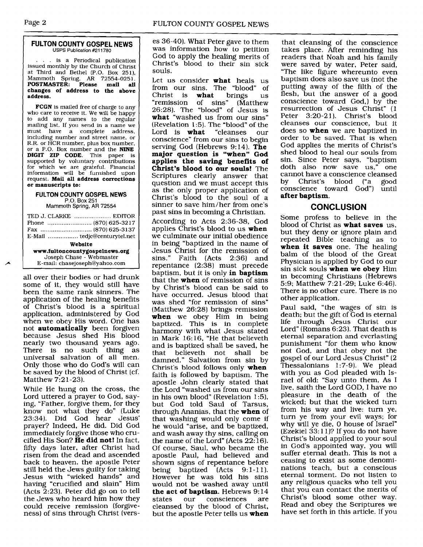### **FULTON COUNTY GOSPEL NEWS**  USPS **Publication** #211780

... is a Periodical publication issued monthly by the Church of Christ at Third and Bethel (P.O. Box 251). Mammoth Spring, **AR** 72554-0251. **POSTMASTER: Please mail all changes of address to the above address.** 

**FCGN** is mailed free of charge to any who care to receive it. We will be happy to add any names to the regular mailing list. If you send in a name we<br>must have a complete address must have a complete address,<br>including number and street name, or R.R. or HCR number, plus box number, or a P.O. Box number and the **NINE DIGIT ZIP CODE.** This paper is supported by voluntary contributions for which we are grateful. Financial information will be furnished upon request. **Mail all address corrections or manuscripts to:** 

### **FULTON COUNTY GOSPEL NEWS**  P.O. Box 251 Mammoth Spring, AR 72554

TED J. CLARKE ..................... EDITOR Phone ......................... (870) 625-32 17 **Fax** ............................. (870) 625-3137 E-Mail ................. tedjc@centurytel.net **Website www.fultoncountygospelnews.org**  Joseph Chase - Webmaster E-mail: chasejoseph@yahoo.com

all over their bodies or had drunk some of it, they would still have been the same rank sinners. The application of the healing benefits of Christ's blood is a spiritual application, administered by God when we obey His word. One has not **automatically** been forgiven because Jesus shed His blood nearly two thousand years ago. There is no such thing as universal salvation of all men. Only those who do God's will can be saved by the blood of Christ (cf. Matthew 7:21-23).

While He hung on the cross, the Lord uttered a prayer to God, saying, "Father, forgive them, for they know not what they do" (Luke 23:34). Did God hear Jesus' prayer? Indeed, He did. Did God immediately forgive those who crucified His Son? **He did not!** In fact, fifty days later, after Christ had risen from the dead and ascended back to heaven, the apostle Peter still held the Jews guilty for taking Jesus with "wicked hands" and having "crucified and slain" Him (Acts 2:23). Peter did go on to tell the Jews who heard him how they could receive remission (forgiveness) of sins through Christ (verses 36-40). What Peter gave to them was information how to petition God to apply the healing merits of Christ's blood to their sin sick souls.

Let us consider **what** heals us from our sins. The "blood" of<br>Christ is **what** brings us Christ is **what** brings us "remission of sins" 26:28). The "blood" of Jesus is **what** "washed us from our sins" (Revelation 1:5). The "blood" of the Lord is **what** "cleanses our Lord is **what** "cleanses our conscience" from our sins to begin serving God (Hebrews 9:14). **The major question is "when" God applies the saving benefits of Christ's blood to our souls!** The Scriptures clearly answer that question and we must accept this as the only proper application of Christ's blood to the soul of a sinner to save him/her from one's past sins in becoming a Christian.

According to Acts 2:36-38, God applies Christ's blood to us **when**  we culminate our initial obedience in being "baptized in the name of Jesus Christ for the remission of sins." Faith (Acts 2:36) and repentance [2:38) must precede baptism, but it is only **in baptism**  that the **when** of remission of sins by Christ's blood can be said to have occurred. Jesus blood that was shed "for remission of sins" (Matthew 26:28) brings remission **when** we obey Him in being baptized. This is in complete harmony with what Jesus stated in Mark 16:16, "He that believeth and is baptized shall be saved, he<br>that believeth not shall be helieveth not shall be damned." Salvation from sin by Christ's blood follows only **when**  faith is followed by baptism. The apostIe John clearly stated that the Lord "washed us from our sins in his own blood" (Revelation 1:5), but God told Saul of Tarsus, through Ananias, that the **when** of that washing would only come if he would "arise, and be baptized, and wash away thy sins, calling on the name of the Lord" (Acts  $22:16$ ). Of course, Saul, who became the apostle Paul, had believed and shown signs of repentance before being baptized (Acts 9:1-11). However he was told his sins would not be washed away until **the act of baptism.** Hebrews 9:14 states our consciences are our consciences are cleansed by the blood of Christ, but the apostle Peter tells us **when** 

that cleansing of the conscience takes place. After reminding his readers that Noah and his family were saved by water, Peter said, "The like figure whereunto even baptism does also save us (not the putting away of the filth of the flesh, but the answer of a good conscience toward God,) by the resurrection of Jesus Christ" (1 Peter 3:20-21). Christ's blood cleanses our conscience, but it does so **when** we are baptized in order to be saved. That is when God applies the merits of Christ's shed blood to heal our souls from sin. Since Peter says, "baptism doth also now save us," one cannot have a conscience cleansed<br>by Christ's blood ("a good by Christ's blood ("a good conscience toward God") until **after baptism.** 

## **CONCLUSION**

Some profess to believe in the blood of Christ as **what saves** us, but they deny or ignore plain and repeated Bible teaching as to when it saves one. The healing balm of the blood of the Great Physician is applied by God to our sin sick souls **when we obey** Him in becoming Christians (Hebrews 5:9; Matthew 7:21-29; Luke 6:46). There is no other cure. There is no other application.

Paul said, "the wages of sin is death; but the gift of God is eternal life through Jesus Christ our Lord" (Romans 6:23). That death is eternal separation and everlasting punishment "for them who know not God, and that obey not the gospel of our Lord Jesus Christ" (2 Thessalonians 1:7-9). We plead with you as God pleaded with Israel of old: "Say unto them, As I live, saith the Lord GOD, I have no pleasure in the death of the wicked; but that the wicked turn from his way and live: turn ye, turn ye from your evil ways; for why will ye die, 0 house of Israel" (Ezekiel 33: 1 I)? If you do not have Christ's blood applied to your soul in God's appointed way, you will suffer eternal death. This is not a ceasing to exist as some denominations teach, but a conscious eternal torment. Do not listen to any religious quacks who tell you that you can contact the merits of Christ's blood some other way. Read and obey the Scriptures we have set forth in this article. If you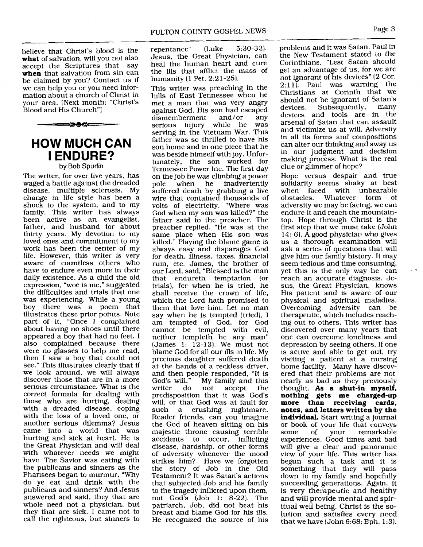believe that Christ's blood is the what of salvation, will you not also<br>accept the Scriptures that say accept the Scriptures that **when** that salvation from sin can be claimed by you? Contact us if we can help you or you need information about a church of Christ in your area. [Next month: "Christ's Blood and His Church"]



**by Bob Spurlin** 

The writer, for over five years, has waged a battle against the dreaded disease, multiple sclerosis. My change in life style has been a shock to the system, and to my family. This writer has always been active as an evangelist, father, and husband for about thirty years. My devotion to my loved ones and commitment to my work has been the center of my life. However, this writer is very aware of countless others who have to endure even more in their daily existence. As a child the old expression, "woe is me," suggested the difficulties and trials that one was experiencing. While a young boy there was a poem that illustrates these prior points. Note part of it, "Once I complained about having no shoes until there appeared a boy that had no feet. I also complained because there were no glasses to help me read, then I saw a boy that could not see." This illustrates clearly that if we look around, we will always discover those that are in a more serious circumstance. What is the correct formula for dealing with those who are hurting, dealing with a dreaded disease, coping with the loss of a loved one, or another serious dilemma? Jesus came into a world that was hurting and sick at heart. He is the Great Physician and will deal with whatever needs we might have. The Savior was eating with the publicans and sinners as the Pharisees began to murmur, "Why do ye eat and drink with the publicans and sinners? And Jesus answered and said, they that are whole need not a physician, but they that are sick. I came not to call the righteous, but sinners to

repentance" (Luke 5:30-32). Jesus, the Great Physician, can heal the human heart and cure the ills that afflict the mass of humanity (1 Pet. 2:21-251.

This writer was preaching in the hills of East Tennessee when he met a man that was very angry against God. His son had escaped<br>dismemberment and/or any dismemberment and/or any<br>serious injury while he was serious injury while he serving in the Vietnam War. This father was so thrilled to have his son home and in one piece that he was beside himself with joy. Unfortunately, the son worked for Tennessee Power Inc. The first day on the job he was climbing a power<br>pole when he inadvertently pole when he inadvertently suffered death by grabbing a live wire that contained thousands of volts of electricity. "Where was God when my son was killed?" the father said to the preacher. The preacher replied, "He was at the same place when His son was killed." Playing the blame game is always easy and disparages God for death, illness, taxes, financial ruin, etc. James, the brother of our Lord, said, "Blessed is the man that endureth temptation (or trials), for when he is tried, he shall receive the crown of life, which the Lord hath promised to them that love him. Let no man say when he is tempted (tried), I am tempted of God, for God cannot be tempted with evil, neither tempteth he any man" (James 1: 12-13). We must not blame God for all our ills in life. My precious daughter suffered death at the hands of a reckless driver, and then people responded, "It is God's will." My family and this writer do not accept the not accept predisposition that it was God's will, or that God was at fault for such a crushing nightmare. Reader friends, can you imagine the God of heaven sitting on his majestic throne causing terrible<br>accidents to occur, inflicting accidents to occur, disease, hardship, or other forms of adversity whenever the mood strikes him? Have we forgotten the story of Job in the Old Testament? It was Satan's actions that subjected Job and his family to the tragedy inflicted upon them, not God's (Job 1: 8-22). The patriarch, Job, did not beat his breast and blame God for his ills. He recognized the source of his

problems and it was Satan. Paul in the New Testament stated to the Corinthians, "Lest Satan should get an advantage of us, for we are not ignorant of his devices" (2 Cor.<br>2.11) Paul was warning the  $2:11$ ). Paul was warning Christians at Corinth that we should not be ignorant of Satan's<br>devices. Subsequently, many Subsequently, devices and tools are in the arsenal of Satan that can assault and victimize us at will. Adversity in all its forms and compositions can alter our thinking and sway us in our judgment and decision making process. What is the real clue or glimmer of hope?

Hope versus despair and true solidarity seems shaky at best<br>when faced with unbearable when faced with unbearable<br>obstacles. Whatever form of obstacles. Whatever adversity we may be facing, we can endure it and reach the mountaintop. Hope through Christ is the first step that we must take (John 14: 6). A good physician who gives us a thorough examination will ask a series of questions that will give him our family history. It may seem tedious and time consuming, yet this is the only way he can reach an accurate diagnosis. Jesus, the Great Physician, knows His patient and is aware of our physical and spiritual maladies. Overcoming adversity can be therapeutic, which includes reaching out to others. This writer has discovered over many years that one can overcome loneliness and depression by seeing others. If one is active and able to get out, try visiting a patient at a nursing home facility. Many have discovered that their problems are not nearly as bad as they previously thought. **As a shut-in myself, nothing gets me charged-up more than receiving cards, notes, and letters written by the individual.** Start writing a journal or book of your life that conveys some of your remarkable experiences. Good times and bad will give a clear and panoramic view of your life. This writer has begun such a task and it is something that they will pass down to my family and hopefully succeeding generations. Again, it is very therapeutic and healthy and will provide mental and spiritual well being. Christ is the solution and satisfies every need that we have (John 6:68; Eph. 1:3).